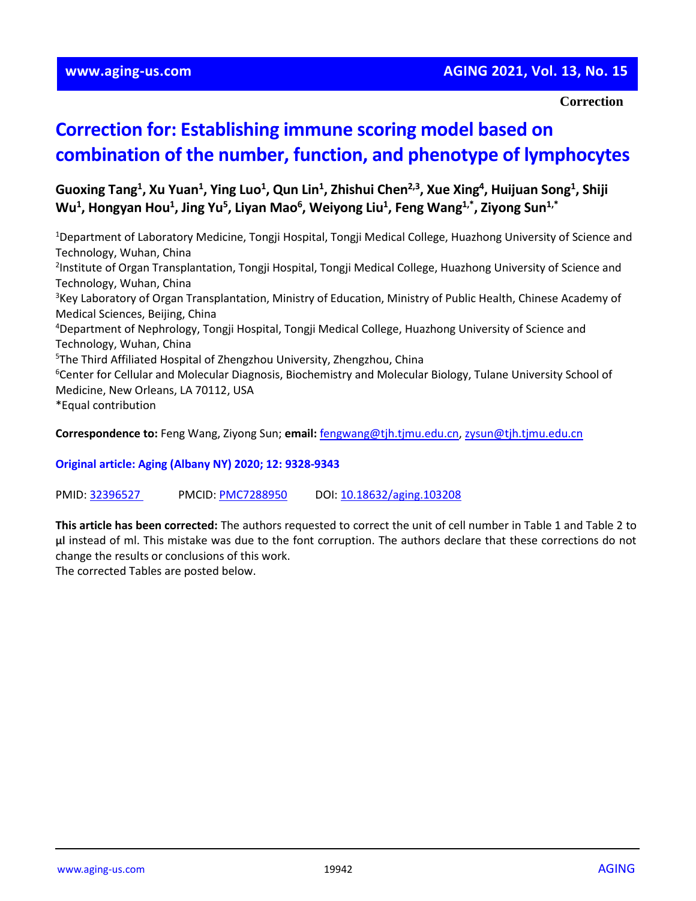## **www.aging-us.com AGING 2021, Vol. 13, No. 15**

#### **Correction**

# **Correction for: Establishing immune scoring model based on combination of the number, function, and phenotype of lymphocytes**

**Guoxing Tang<sup>1</sup> , Xu Yuan<sup>1</sup> , Ying Luo<sup>1</sup> , Qun Lin<sup>1</sup> , Zhishui Chen2,3, Xue Xing<sup>4</sup> , Huijuan Song<sup>1</sup> , Shiji Wu<sup>1</sup> , Hongyan Hou<sup>1</sup> , Jing Yu<sup>5</sup> , Liyan Mao<sup>6</sup> , Weiyong Liu<sup>1</sup> , Feng Wang1,\*, Ziyong Sun1,\***

<sup>1</sup>Department of Laboratory Medicine, Tongji Hospital, Tongji Medical College, Huazhong University of Science and Technology, Wuhan, China 2 Institute of Organ Transplantation, Tongji Hospital, Tongji Medical College, Huazhong University of Science and Technology, Wuhan, China <sup>3</sup>Key Laboratory of Organ Transplantation, Ministry of Education, Ministry of Public Health, Chinese Academy of Medical Sciences, Beijing, China <sup>4</sup>Department of Nephrology, Tongji Hospital, Tongji Medical College, Huazhong University of Science and Technology, Wuhan, China <sup>5</sup>The Third Affiliated Hospital of Zhengzhou University, Zhengzhou, China <sup>6</sup>Center for Cellular and Molecular Diagnosis, Biochemistry and Molecular Biology, Tulane University School of Medicine, New Orleans, LA 70112, USA \*Equal contribution

**Correspondence to:** Feng Wang, Ziyong Sun; **email:** [fengwang@tjh.tjmu.edu.cn,](mailto:fengwang@tjh.tjmu.edu.cn) [zysun@tjh.tjmu.edu.cn](mailto:zysun@tjh.tjmu.edu.cn)

**Original article: Aging (Albany NY) 2020; 12: 9328-9343**

PMID: [32396527](https://pubmed.ncbi.nlm.nih.gov/32396527/) PMCID[: PMC7288950](https://www.ncbi.nlm.nih.gov/pmc/articles/PMC7288950/) DOI[: 10.18632/aging.103208](https://doi.org/10.18632/aging.103208)

**This article has been corrected:** The authors requested to correct the unit of cell number in Table 1 and Table 2 to **μl** instead of ml. This mistake was due to the font corruption. The authors declare that these corrections do not change the results or conclusions of this work.

The corrected Tables are posted below.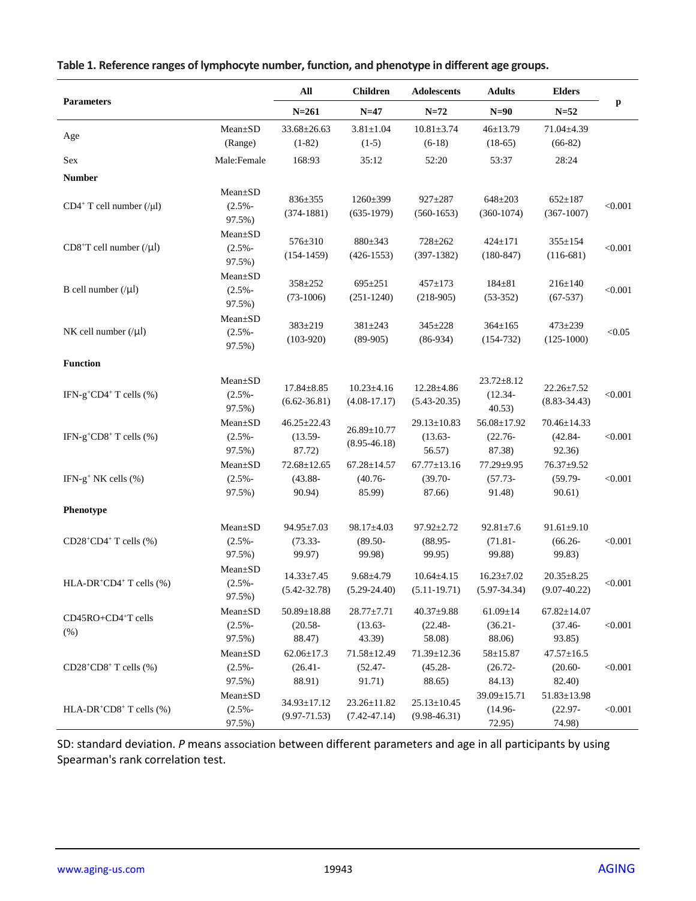|                                                      |                                      | All<br>$N = 261$                          | <b>Children</b><br>$N=47$                 | Adolescents<br>$N=72$                     | <b>Adults</b><br>$N=90$                  | <b>Elders</b><br>$N = 52$                 | p       |
|------------------------------------------------------|--------------------------------------|-------------------------------------------|-------------------------------------------|-------------------------------------------|------------------------------------------|-------------------------------------------|---------|
| <b>Parameters</b>                                    |                                      |                                           |                                           |                                           |                                          |                                           |         |
|                                                      | Mean±SD                              | 33.68±26.63                               | $3.81 \pm 1.04$                           | $10.81 \pm 3.74$                          | $46 \pm 13.79$                           | 71.04±4.39                                |         |
| Age                                                  | (Range)                              | $(1-82)$                                  | $(1-5)$                                   | $(6-18)$                                  | $(18-65)$                                | $(66-82)$                                 |         |
| Sex                                                  | Male:Female                          | 168:93                                    | 35:12                                     | 52:20                                     | 53:37                                    | 28:24                                     |         |
| <b>Number</b>                                        |                                      |                                           |                                           |                                           |                                          |                                           |         |
| $CD4+T$ cell number (/ $\mu$ l)                      | $Mean \pm SD$<br>$(2.5% -$<br>97.5%) | 836±355<br>$(374-1881)$                   | 1260±399<br>$(635-1979)$                  | 927±287<br>$(560-1653)$                   | $648 + 203$<br>$(360-1074)$              | $652 \pm 187$<br>$(367-1007)$             | < 0.001 |
| $CDS+T$ cell number $( \mu )$                        | Mean±SD<br>$(2.5% -$<br>97.5%)       | 576±310<br>$(154-1459)$                   | 880±343<br>$(426-1553)$                   | 728±262<br>$(397-1382)$                   | $424 \pm 171$<br>$(180-847)$             | 355±154<br>$(116-681)$                    | < 0.001 |
| B cell number $(\vert \mu \vert)$                    | $Mean \pm SD$<br>$(2.5% -$<br>97.5%) | 358±252<br>$(73-1006)$                    | $695 \pm 251$<br>$(251-1240)$             | $457 + 173$<br>$(218-905)$                | $184 + 81$<br>$(53-352)$                 | $216 \pm 140$<br>$(67-537)$               | < 0.001 |
| NK cell number $( \mu )$                             | Mean±SD<br>$(2.5% -$<br>97.5%)       | 383±219<br>$(103-920)$                    | 381±243<br>$(89-905)$                     | 345±228<br>$(86-934)$                     | $364 \pm 165$<br>$(154-732)$             | 473±239<br>$(125-1000)$                   | < 0.05  |
| <b>Function</b>                                      |                                      |                                           |                                           |                                           |                                          |                                           |         |
| IFN-g <sup>+</sup> CD4 <sup>+</sup> T cells $(\% )$  | Mean±SD<br>$(2.5% -$<br>97.5%)       | $17.84 \pm 8.85$<br>$(6.62 - 36.81)$      | $10.23 \pm 4.16$<br>$(4.08 - 17.17)$      | 12.28±4.86<br>$(5.43 - 20.35)$            | $23.72 \pm 8.12$<br>$(12.34 -$<br>40.53) | $22.26 \pm 7.52$<br>$(8.83 - 34.43)$      | < 0.001 |
| IFN-g <sup>+</sup> CD8 <sup>+</sup> T cells $(\% )$  | Mean±SD<br>$(2.5% -$                 | $46.25 \pm 22.43$<br>$(13.59 -$           | $26.89 \pm 10.77$<br>$(8.95 - 46.18)$     | $29.13 \pm 10.83$<br>$(13.63 -$           | 56.08±17.92<br>$(22.76 -$                | 70.46±14.33<br>$(42.84 -$                 | < 0.001 |
|                                                      | 97.5%)                               | 87.72)                                    |                                           | 56.57)                                    | 87.38)                                   | 92.36)                                    |         |
| IFN-g <sup>+</sup> NK cells (%)                      | $Mean \pm SD$<br>$(2.5% -$<br>97.5%) | $72.68 \pm 12.65$<br>$(43.88 -$<br>90.94) | $67.28 \pm 14.57$<br>$(40.76 -$<br>85.99) | $67.77 \pm 13.16$<br>$(39.70 -$<br>87.66) | 77.29±9.95<br>$(57.73 -$<br>91.48)       | 76.37±9.52<br>$(59.79 -$<br>90.61)        | < 0.001 |
| Phenotype                                            |                                      |                                           |                                           |                                           |                                          |                                           |         |
| $CD28+CD4+T$ cells $(\%)$                            | $Mean \pm SD$<br>$(2.5% -$<br>97.5%) | $94.95 \pm 7.03$<br>$(73.33 -$<br>99.97)  | $98.17 \pm 4.03$<br>$(89.50 -$<br>99.98)  | $97.92 \pm 2.72$<br>$(88.95 -$<br>99.95)  | $92.81 \pm 7.6$<br>$(71.81 -$<br>99.88)  | $91.61 \pm 9.10$<br>$(66.26 -$<br>99.83)  | < 0.001 |
| HLA-DR <sup>+</sup> CD4 <sup>+</sup> T cells $(\% )$ | $Mean \pm SD$<br>$(2.5% -$<br>97.5%) | $14.33 \pm 7.45$<br>$(5.42 - 32.78)$      | $9.68{\pm}4.79$<br>$(5.29 - 24.40)$       | $10.64 \pm 4.15$<br>$(5.11-19.71)$        | $16.23 \pm 7.02$<br>$(5.97 - 34.34)$     | $20.35 \pm 8.25$<br>$(9.07 - 40.22)$      | < 0.001 |
| CD45RO+CD4+T cells<br>(% )                           | Mean±SD<br>$(2.5% -$<br>97.5%)       | 50.89±18.88<br>$(20.58 -$<br>88.47)       | $28.77 \pm 7.71$<br>$(13.63 -$<br>43.39)  | $40.37 + 9.88$<br>$(22.48 -$<br>58.08)    | $61.09 \pm 14$<br>$(36.21 -$<br>88.06)   | $67.82{\pm}14.07$<br>$(37.46 -$<br>93.85) | < 0.001 |
| $CD28+CD8+T$ cells $(\%)$                            | $Mean \pm SD$<br>$(2.5% -$<br>97.5%) | $62.06 \pm 17.3$<br>$(26.41 -$<br>88.91)  | 71.58±12.49<br>$(52.47 -$<br>91.71)       | 71.39±12.36<br>$(45.28 -$<br>88.65)       | 58±15.87<br>$(26.72 -$<br>84.13)         | $47.57 \pm 16.5$<br>$(20.60 -$<br>82.40)  | < 0.001 |
| HLA-DR <sup>+</sup> CD8 <sup>+</sup> T cells $(\% )$ | Mean±SD<br>$(2.5% -$<br>97.5%)       | 34.93±17.12<br>$(9.97 - 71.53)$           | 23.26±11.82<br>$(7.42 - 47.14)$           | $25.13 \pm 10.45$<br>$(9.98 - 46.31)$     | 39.09±15.71<br>$(14.96 -$<br>72.95)      | 51.83±13.98<br>$(22.97 -$<br>74.98)       | < 0.001 |

## **Table 1. Reference ranges of lymphocyte number, function, and phenotype in different age groups.**

SD: standard deviation. *P* means association between different parameters and age in all participants by using Spearman's rank correlation test.